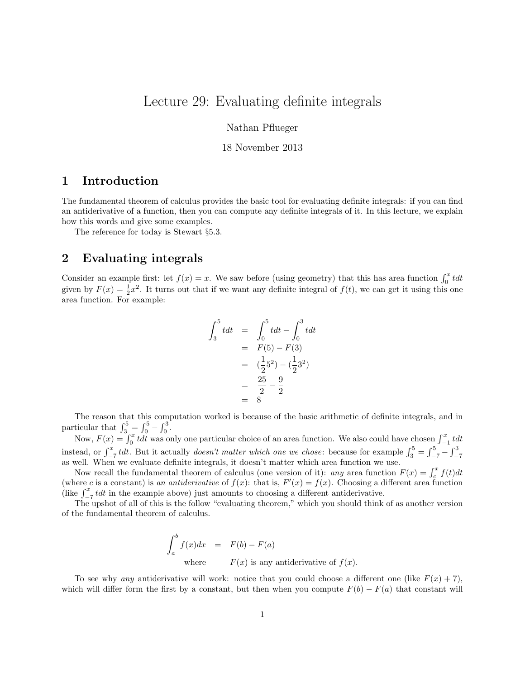# Lecture 29: Evaluating definite integrals

Nathan Pflueger

#### 18 November 2013

## 1 Introduction

The fundamental theorem of calculus provides the basic tool for evaluating definite integrals: if you can find an antiderivative of a function, then you can compute any definite integrals of it. In this lecture, we explain how this words and give some examples.

The reference for today is Stewart §5.3.

### 2 Evaluating integrals

Consider an example first: let  $f(x) = x$ . We saw before (using geometry) that this has area function  $\int_0^x t dt$ given by  $F(x) = \frac{1}{2}x^2$ . It turns out that if we want any definite integral of  $f(t)$ , we can get it using this one area function. For example:

$$
\int_3^5 t dt = \int_0^5 t dt - \int_0^3 t dt
$$
  
=  $F(5) - F(3)$   
=  $(\frac{1}{2}5^2) - (\frac{1}{2}3^2)$   
=  $\frac{25}{2} - \frac{9}{2}$   
= 8

The reason that this computation worked is because of the basic arithmetic of definite integrals, and in particular that  $\int_3^5 = \int_0^5 - \int_0^3$ .

Now,  $F(x) = \int_0^x t dt$  was only one particular choice of an area function. We also could have chosen  $\int_{-1}^x t dt$ instead, or  $\int_{-7}^{x} t dt$ . But it actually *doesn't matter which one we chose*: because for example  $\int_{3}^{5} = \int_{-7}^{5} - \int_{-7}^{3}$ as well. When we evaluate definite integrals, it doesn't matter which area function we use.

Now recall the fundamental theorem of calculus (one version of it): any area function  $F(x) = \int_c^x f(t)dt$ (where c is a constant) is an antiderivative of  $f(x)$ : that is,  $F'(x) = f(x)$ . Choosing a different area function (like  $\int_{-7}^{x} t dt$  in the example above) just amounts to choosing a different antiderivative.

The upshot of all of this is the follow "evaluating theorem," which you should think of as another version of the fundamental theorem of calculus.

$$
\int_{a}^{b} f(x)dx = F(b) - F(a)
$$
  
where  $F(x)$  is any antiderivative of  $f(x)$ .

To see why any antiderivative will work: notice that you could choose a different one (like  $F(x) + 7$ ), which will differ form the first by a constant, but then when you compute  $F(b) - F(a)$  that constant will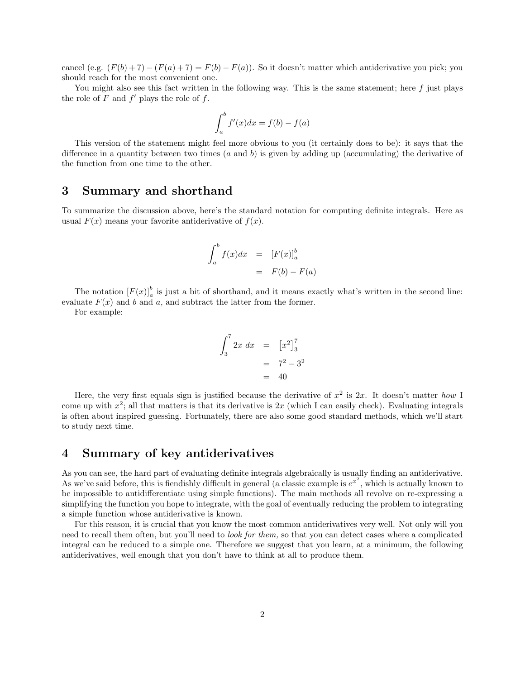cancel (e.g.  $(F(b) + 7) - (F(a) + 7) = F(b) - F(a)$ ). So it doesn't matter which antiderivative you pick; you should reach for the most convenient one.

You might also see this fact written in the following way. This is the same statement; here  $f$  just plays the role of  $F$  and  $f'$  plays the role of  $f$ .

$$
\int_{a}^{b} f'(x)dx = f(b) - f(a)
$$

This version of the statement might feel more obvious to you (it certainly does to be): it says that the difference in a quantity between two times  $(a \text{ and } b)$  is given by adding up (accumulating) the derivative of the function from one time to the other.

#### 3 Summary and shorthand

To summarize the discussion above, here's the standard notation for computing definite integrals. Here as usual  $F(x)$  means your favorite antiderivative of  $f(x)$ .

$$
\int_{a}^{b} f(x)dx = [F(x)]_{a}^{b}
$$

$$
= F(b) - F(a)
$$

The notation  $[F(x)]_a^b$  is just a bit of shorthand, and it means exactly what's written in the second line: evaluate  $F(x)$  and b and a, and subtract the latter from the former.

For example:

$$
\int_3^7 2x \, dx = \left[ x^2 \right]_3^7
$$
  
=  $7^2 - 3^2$   
= 40

Here, the very first equals sign is justified because the derivative of  $x^2$  is  $2x$ . It doesn't matter how I come up with  $x^2$ ; all that matters is that its derivative is  $2x$  (which I can easily check). Evaluating integrals is often about inspired guessing. Fortunately, there are also some good standard methods, which we'll start to study next time.

### 4 Summary of key antiderivatives

As you can see, the hard part of evaluating definite integrals algebraically is usually finding an antiderivative. As we've said before, this is fiendishly difficult in general (a classic example is  $e^{x^2}$ , which is actually known to be impossible to antidifferentiate using simple functions). The main methods all revolve on re-expressing a simplifying the function you hope to integrate, with the goal of eventually reducing the problem to integrating a simple function whose antiderivative is known.

For this reason, it is crucial that you know the most common antiderivatives very well. Not only will you need to recall them often, but you'll need to look for them, so that you can detect cases where a complicated integral can be reduced to a simple one. Therefore we suggest that you learn, at a minimum, the following antiderivatives, well enough that you don't have to think at all to produce them.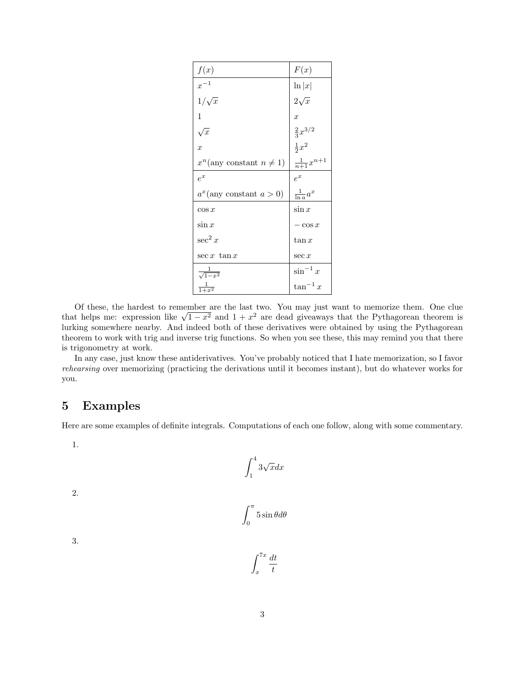| f(x)                             | F(x)                   |
|----------------------------------|------------------------|
| $x^{-1}$                         | $\ln  x $              |
| $1/\sqrt{x}$                     | $2\sqrt{x}$            |
| 1                                | $\hat{x}$              |
| $\sqrt{x}$                       | $\frac{2}{3}x^{3/2}$   |
| $\overline{x}$                   | $\frac{1}{2}x^2$       |
| $x^n$ (any constant $n \neq 1$ ) | $\frac{1}{n+1}x^{n+1}$ |
| $e^x$                            | $e^x$                  |
| $a^x$ (any constant $a > 0$ )    | $\frac{1}{\ln a}a^x$   |
| $\cos x$                         | $\sin x$               |
| $\sin x$                         | $-\cos x$              |
| $\sec^2 x$                       | $\tan x$               |
| $\sec x \tan x$                  | $\sec x$               |
| $\frac{1}{\sqrt{1-x^2}}$         | $\sin^{-1} x$          |
| $\frac{1}{1+x^2}$                | $\tan^{-1} x$          |

Of these, the hardest to remember are the last two. You may just want to memorize them. One clue Of these, the nardest to remember are the last two. You may just want to memorize them. One clue<br>that helps me: expression like  $\sqrt{1-x^2}$  and  $1+x^2$  are dead giveaways that the Pythagorean theorem is lurking somewhere nearby. And indeed both of these derivatives were obtained by using the Pythagorean theorem to work with trig and inverse trig functions. So when you see these, this may remind you that there is trigonometry at work.

In any case, just know these antiderivatives. You've probably noticed that I hate memorization, so I favor rehearsing over memorizing (practicing the derivations until it becomes instant), but do whatever works for you.

# 5 Examples

Here are some examples of definite integrals. Computations of each one follow, along with some commentary.

1.

$$
\int_1^4 3\sqrt{x} dx
$$

2.

$$
\int_0^\pi 5\sin\theta d\theta
$$

3.

$$
\int_{x}^{7x} \frac{dt}{t}
$$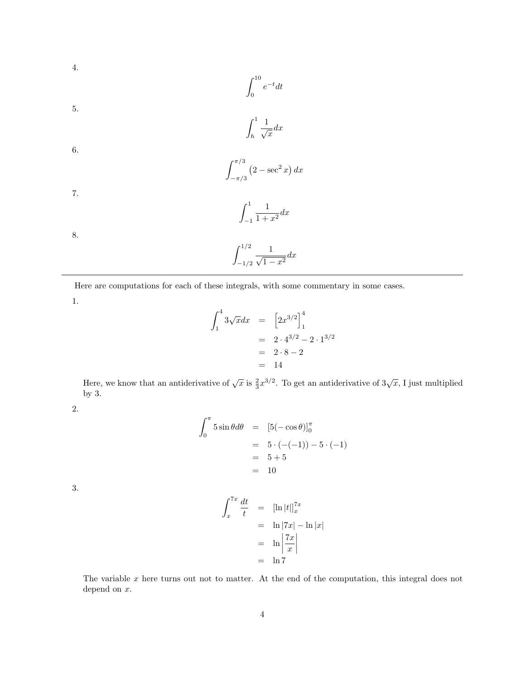4.
$$
\int_0^{10} e^{-t} dt
$$
\n5.
$$
\int_h^1 \frac{1}{\sqrt{x}} dx
$$
\n6.
$$
\int_{-\pi/3}^{\pi/3} (2 - \sec^2 x) dx
$$
\n7.
$$
\int_{-1}^1 \frac{1}{1 + x^2} dx
$$
\n8.
$$
\int_{-1/2}^{1/2} \frac{1}{\sqrt{1 - x^2}} dx
$$

Here are computations for each of these integrals, with some commentary in some cases.

1.

$$
\int_{1}^{4} 3\sqrt{x} dx = [2x^{3/2}]_{1}^{4}
$$
  
= 2 \cdot 4^{3/2} - 2 \cdot 1^{3/2}  
= 2 \cdot 8 - 2  
= 14

Here, we know that an antiderivative of  $\sqrt{x}$  is  $\frac{2}{3}x^{3/2}$ . To get an antiderivative of  $3\sqrt{x}$ , I just multiplied by 3.

2.

$$
\int_0^{\pi} 5 \sin \theta d\theta = [5(-\cos \theta)]_0^{\pi}
$$
  
= 5 \cdot (-(-1)) - 5 \cdot (-1)  
= 5 + 5  
= 10

3.

$$
\int_{x}^{7x} \frac{dt}{t} = [\ln |t|]_{x}^{7x}
$$

$$
= \ln |7x| - \ln |x|
$$

$$
= \ln \left| \frac{7x}{x} \right|
$$

$$
= \ln 7
$$

The variable x here turns out not to matter. At the end of the computation, this integral does not depend on  $x$ .